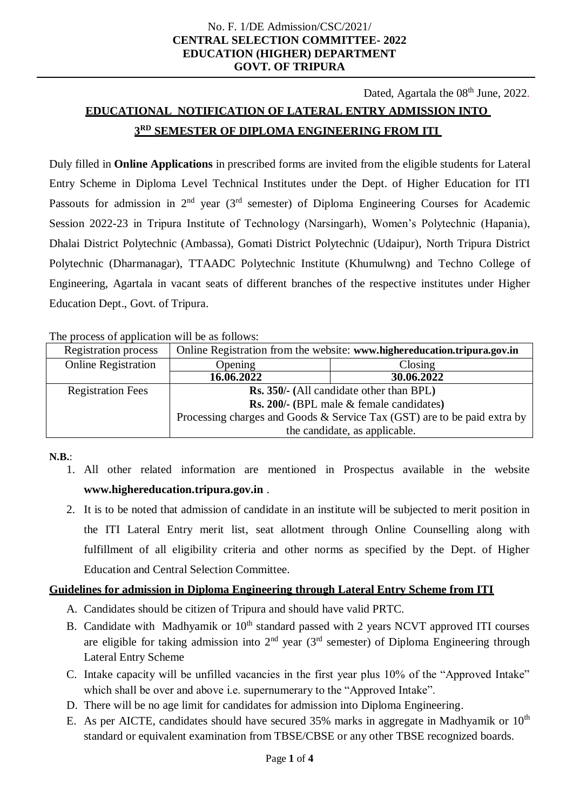### No. F. 1/DE Admission/CSC/2021/ **CENTRAL SELECTION COMMITTEE- 2022 EDUCATION (HIGHER) DEPARTMENT GOVT. OF TRIPURA**

Dated, Agartala the 08<sup>th</sup> June, 2022.

# **EDUCATIONAL NOTIFICATION OF LATERAL ENTRY ADMISSION INTO 3 RD SEMESTER OF DIPLOMA ENGINEERING FROM ITI**

Duly filled in **Online Applications** in prescribed forms are invited from the eligible students for Lateral Entry Scheme in Diploma Level Technical Institutes under the Dept. of Higher Education for ITI Passouts for admission in  $2<sup>nd</sup>$  year (3<sup>rd</sup> semester) of Diploma Engineering Courses for Academic Session 2022-23 in Tripura Institute of Technology (Narsingarh), Women's Polytechnic (Hapania), Dhalai District Polytechnic (Ambassa), Gomati District Polytechnic (Udaipur), North Tripura District Polytechnic (Dharmanagar), TTAADC Polytechnic Institute (Khumulwng) and Techno College of Engineering, Agartala in vacant seats of different branches of the respective institutes under Higher Education Dept., Govt. of Tripura.

The process of application will be as follows:

| <b>Registration process</b> | Online Registration from the website: www.highereducation.tripura.gov.in |               |  |
|-----------------------------|--------------------------------------------------------------------------|---------------|--|
| <b>Online Registration</b>  | Opening                                                                  | $\frac{1}{2}$ |  |
|                             | 16.06.2022                                                               | 30.06.2022    |  |
| <b>Registration Fees</b>    | <b>Rs. 350/-</b> (All candidate other than BPL)                          |               |  |
|                             | <b>Rs. 200/-</b> (BPL male & female candidates)                          |               |  |
|                             | Processing charges and Goods & Service Tax (GST) are to be paid extra by |               |  |
|                             | the candidate, as applicable.                                            |               |  |

**N.B.**:

- 1. All other related information are mentioned in Prospectus available in the website **www.highereducation.tripura.gov.in** .
- 2. It is to be noted that admission of candidate in an institute will be subjected to merit position in the ITI Lateral Entry merit list, seat allotment through Online Counselling along with fulfillment of all eligibility criteria and other norms as specified by the Dept. of Higher Education and Central Selection Committee.

## **Guidelines for admission in Diploma Engineering through Lateral Entry Scheme from ITI**

- A. Candidates should be citizen of Tripura and should have valid PRTC.
- B. Candidate with Madhyamik or  $10<sup>th</sup>$  standard passed with 2 years NCVT approved ITI courses are eligible for taking admission into  $2<sup>nd</sup>$  year (3<sup>rd</sup> semester) of Diploma Engineering through Lateral Entry Scheme
- C. Intake capacity will be unfilled vacancies in the first year plus 10% of the "Approved Intake" which shall be over and above i.e. supernumerary to the "Approved Intake".
- D. There will be no age limit for candidates for admission into Diploma Engineering.
- E. As per AICTE, candidates should have secured 35% marks in aggregate in Madhyamik or  $10<sup>th</sup>$ standard or equivalent examination from TBSE/CBSE or any other TBSE recognized boards.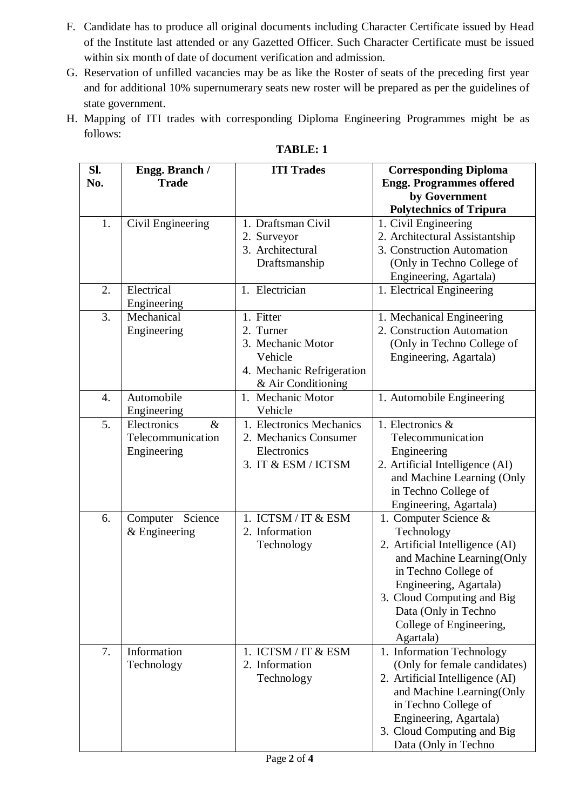- F. Candidate has to produce all original documents including Character Certificate issued by Head of the Institute last attended or any Gazetted Officer. Such Character Certificate must be issued within six month of date of document verification and admission.
- G. Reservation of unfilled vacancies may be as like the Roster of seats of the preceding first year and for additional 10% supernumerary seats new roster will be prepared as per the guidelines of state government.
- H. Mapping of ITI trades with corresponding Diploma Engineering Programmes might be as follows:

| SI. |                     | <b>ITI Trades</b>         |                                 |
|-----|---------------------|---------------------------|---------------------------------|
|     | Engg. Branch /      |                           | <b>Corresponding Diploma</b>    |
| No. | <b>Trade</b>        |                           | <b>Engg. Programmes offered</b> |
|     |                     |                           | by Government                   |
|     |                     |                           | <b>Polytechnics of Tripura</b>  |
| 1.  | Civil Engineering   | 1. Draftsman Civil        | 1. Civil Engineering            |
|     |                     | 2. Surveyor               | 2. Architectural Assistantship  |
|     |                     | 3. Architectural          | 3. Construction Automation      |
|     |                     | Draftsmanship             | (Only in Techno College of      |
|     |                     |                           | Engineering, Agartala)          |
| 2.  | Electrical          | 1. Electrician            | 1. Electrical Engineering       |
|     | Engineering         |                           |                                 |
| 3.  | Mechanical          | 1. Fitter                 |                                 |
|     |                     |                           | 1. Mechanical Engineering       |
|     | Engineering         | 2. Turner                 | 2. Construction Automation      |
|     |                     | 3. Mechanic Motor         | (Only in Techno College of      |
|     |                     | Vehicle                   | Engineering, Agartala)          |
|     |                     | 4. Mechanic Refrigeration |                                 |
|     |                     | & Air Conditioning        |                                 |
| 4.  | Automobile          | 1. Mechanic Motor         | 1. Automobile Engineering       |
|     | Engineering         | Vehicle                   |                                 |
| 5.  | $\&$<br>Electronics | 1. Electronics Mechanics  | 1. Electronics &                |
|     | Telecommunication   | 2. Mechanics Consumer     | Telecommunication               |
|     | Engineering         | Electronics               | Engineering                     |
|     |                     | 3. IT & ESM / ICTSM       | 2. Artificial Intelligence (AI) |
|     |                     |                           | and Machine Learning (Only      |
|     |                     |                           | in Techno College of            |
|     |                     |                           | Engineering, Agartala)          |
| 6.  | Science<br>Computer | 1. ICTSM / IT & ESM       | 1. Computer Science &           |
|     |                     |                           |                                 |
|     | $&$ Engineering     | 2. Information            | Technology                      |
|     |                     | Technology                | 2. Artificial Intelligence (AI) |
|     |                     |                           | and Machine Learning(Only       |
|     |                     |                           | in Techno College of            |
|     |                     |                           | Engineering, Agartala)          |
|     |                     |                           | 3. Cloud Computing and Big      |
|     |                     |                           | Data (Only in Techno            |
|     |                     |                           | College of Engineering,         |
|     |                     |                           | Agartala)                       |
| 7.  | Information         | 1. ICTSM / IT & ESM       | 1. Information Technology       |
|     | Technology          | 2. Information            | (Only for female candidates)    |
|     |                     | Technology                | 2. Artificial Intelligence (AI) |
|     |                     |                           | and Machine Learning(Only       |
|     |                     |                           | in Techno College of            |
|     |                     |                           | Engineering, Agartala)          |
|     |                     |                           | 3. Cloud Computing and Big      |
|     |                     |                           | Data (Only in Techno            |
|     |                     |                           |                                 |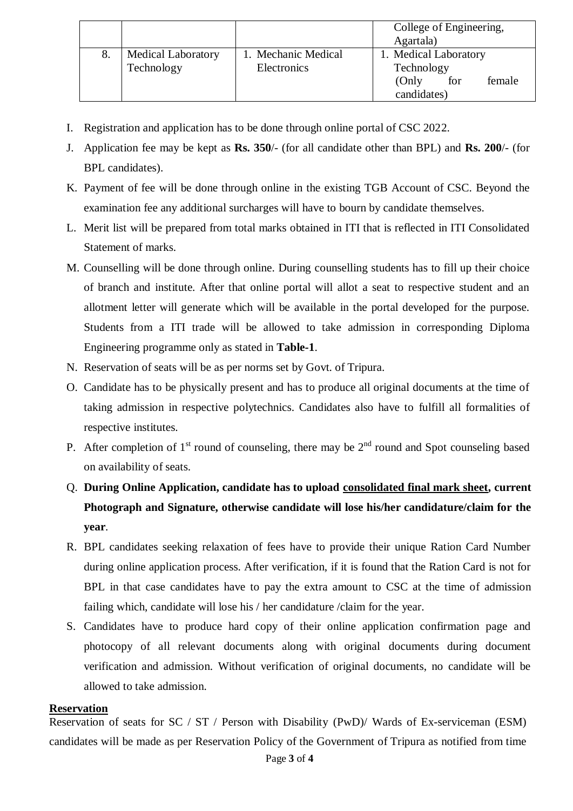|    |                           |                     | College of Engineering, |
|----|---------------------------|---------------------|-------------------------|
|    |                           |                     | Agartala)               |
| 8. | <b>Medical Laboratory</b> | 1. Mechanic Medical | 1. Medical Laboratory   |
|    | Technology                | Electronics         | Technology              |
|    |                           |                     | (Only)<br>female<br>for |
|    |                           |                     | candidates)             |

- I. Registration and application has to be done through online portal of CSC 2022.
- J. Application fee may be kept as **Rs. 350**/- (for all candidate other than BPL) and **Rs. 200**/- (for BPL candidates).
- K. Payment of fee will be done through online in the existing TGB Account of CSC. Beyond the examination fee any additional surcharges will have to bourn by candidate themselves.
- L. Merit list will be prepared from total marks obtained in ITI that is reflected in ITI Consolidated Statement of marks.
- M. Counselling will be done through online. During counselling students has to fill up their choice of branch and institute. After that online portal will allot a seat to respective student and an allotment letter will generate which will be available in the portal developed for the purpose. Students from a ITI trade will be allowed to take admission in corresponding Diploma Engineering programme only as stated in **Table-1**.
- N. Reservation of seats will be as per norms set by Govt. of Tripura.
- O. Candidate has to be physically present and has to produce all original documents at the time of taking admission in respective polytechnics. Candidates also have to fulfill all formalities of respective institutes.
- P. After completion of  $1<sup>st</sup>$  round of counseling, there may be  $2<sup>nd</sup>$  round and Spot counseling based on availability of seats.
- Q. **During Online Application, candidate has to upload consolidated final mark sheet, current Photograph and Signature, otherwise candidate will lose his/her candidature/claim for the year**.
- R. BPL candidates seeking relaxation of fees have to provide their unique Ration Card Number during online application process. After verification, if it is found that the Ration Card is not for BPL in that case candidates have to pay the extra amount to CSC at the time of admission failing which, candidate will lose his / her candidature /claim for the year.
- S. Candidates have to produce hard copy of their online application confirmation page and photocopy of all relevant documents along with original documents during document verification and admission. Without verification of original documents, no candidate will be allowed to take admission.

## **Reservation**

Reservation of seats for SC / ST / Person with Disability (PwD)/ Wards of Ex-serviceman (ESM) candidates will be made as per Reservation Policy of the Government of Tripura as notified from time